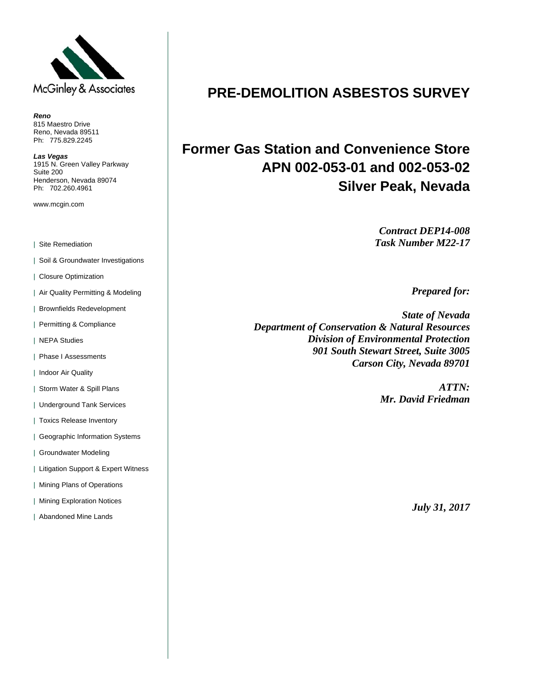

*Reno*  815 Maestro Drive Reno, Nevada 89511 Ph: 775.829.2245

*Las Vegas*  1915 N. Green Valley Parkway Suite 200 Henderson, Nevada 89074 Ph: 702.260.4961

www.mcgin.com

| Site Remediation

| Soil & Groundwater Investigations

| Closure Optimization

| Air Quality Permitting & Modeling

| Brownfields Redevelopment

| Permitting & Compliance

| NEPA Studies

| Phase I Assessments

| Indoor Air Quality

| Storm Water & Spill Plans

| Underground Tank Services

| Toxics Release Inventory

| Geographic Information Systems

| Groundwater Modeling

| Litigation Support & Expert Witness

| Mining Plans of Operations

| Mining Exploration Notices

| Abandoned Mine Lands

# **PRE-DEMOLITION ASBESTOS SURVEY**

# **Former Gas Station and Convenience Store APN 002-053-01 and 002-053-02 Silver Peak, Nevada**

*Contract DEP14-008 Task Number M22-17* 

*Prepared for:* 

*State of Nevada Department of Conservation & Natural Resources Division of Environmental Protection 901 South Stewart Street, Suite 3005 Carson City, Nevada 89701* 

> *ATTN: Mr. David Friedman*

> > *July 31, 2017*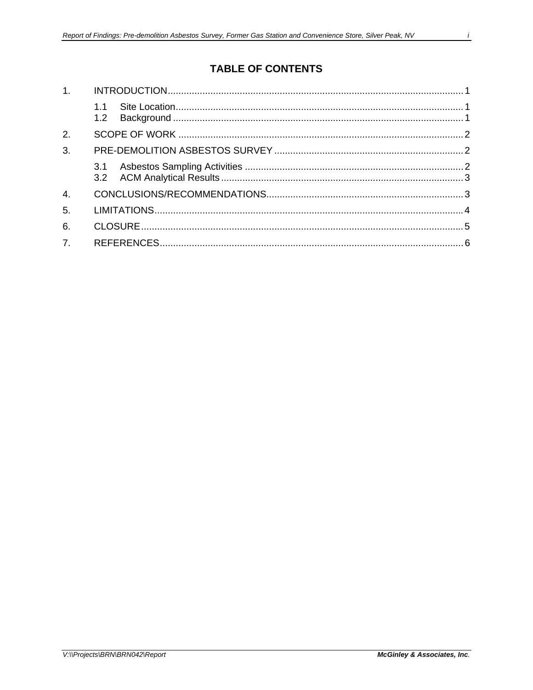# **TABLE OF CONTENTS**

| 1.               |     |  |
|------------------|-----|--|
|                  | 1.1 |  |
| 2.               |     |  |
| 3.               |     |  |
|                  | 3.1 |  |
| $\overline{4}$ . |     |  |
| 5.               |     |  |
| 6.               |     |  |
| 7.               |     |  |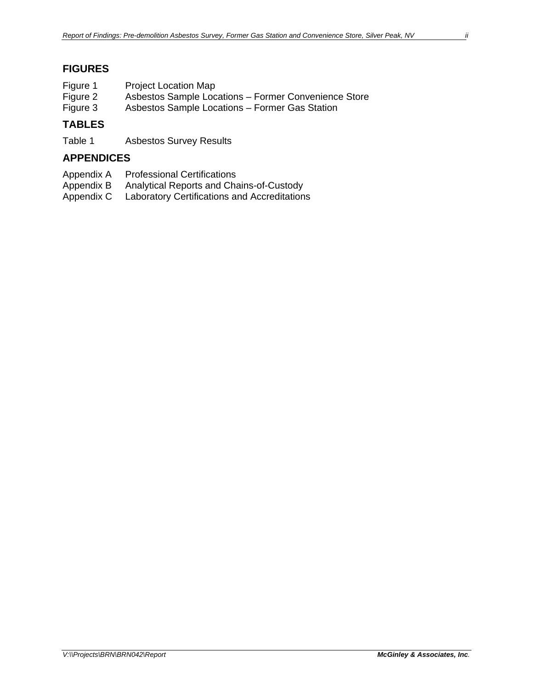# **FIGURES**

| Figure 1 | <b>Project Location Map</b>                          |
|----------|------------------------------------------------------|
| Figure 2 | Asbestos Sample Locations - Former Convenience Store |
| Figure 3 | Asbestos Sample Locations – Former Gas Station       |

## **TABLES**

Table 1 Asbestos Survey Results

## **APPENDICES**

- Appendix A Professional Certifications<br>Appendix B Analytical Reports and Cha
- Analytical Reports and Chains-of-Custody
- Appendix C Laboratory Certifications and Accreditations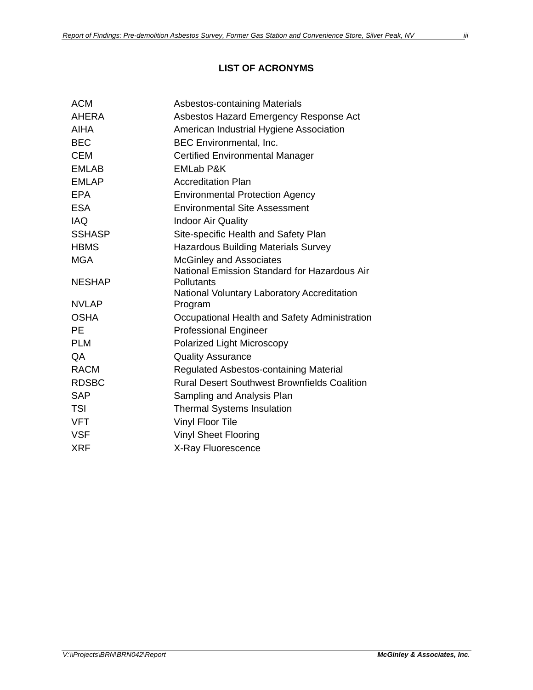## **LIST OF ACRONYMS**

| Asbestos-containing Materials                             |
|-----------------------------------------------------------|
| Asbestos Hazard Emergency Response Act                    |
| American Industrial Hygiene Association                   |
| <b>BEC Environmental, Inc.</b>                            |
| <b>Certified Environmental Manager</b>                    |
| <b>EMLab P&amp;K</b>                                      |
| <b>Accreditation Plan</b>                                 |
| <b>Environmental Protection Agency</b>                    |
| <b>Environmental Site Assessment</b>                      |
| <b>Indoor Air Quality</b>                                 |
| Site-specific Health and Safety Plan                      |
| <b>Hazardous Building Materials Survey</b>                |
| <b>McGinley and Associates</b>                            |
| National Emission Standard for Hazardous Air              |
| Pollutants<br>National Voluntary Laboratory Accreditation |
| Program                                                   |
| Occupational Health and Safety Administration             |
| <b>Professional Engineer</b>                              |
| Polarized Light Microscopy                                |
| <b>Quality Assurance</b>                                  |
| Regulated Asbestos-containing Material                    |
| <b>Rural Desert Southwest Brownfields Coalition</b>       |
| Sampling and Analysis Plan                                |
| <b>Thermal Systems Insulation</b>                         |
| <b>Vinyl Floor Tile</b>                                   |
| <b>Vinyl Sheet Flooring</b>                               |
| X-Ray Fluorescence                                        |
|                                                           |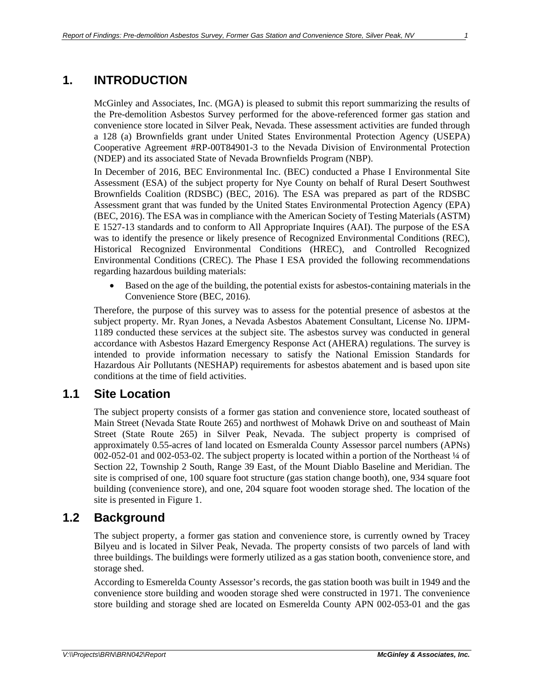# **1. INTRODUCTION**

McGinley and Associates, Inc. (MGA) is pleased to submit this report summarizing the results of the Pre-demolition Asbestos Survey performed for the above-referenced former gas station and convenience store located in Silver Peak, Nevada. These assessment activities are funded through a 128 (a) Brownfields grant under United States Environmental Protection Agency (USEPA) Cooperative Agreement #RP-00T84901-3 to the Nevada Division of Environmental Protection (NDEP) and its associated State of Nevada Brownfields Program (NBP).

In December of 2016, BEC Environmental Inc. (BEC) conducted a Phase I Environmental Site Assessment (ESA) of the subject property for Nye County on behalf of Rural Desert Southwest Brownfields Coalition (RDSBC) (BEC, 2016). The ESA was prepared as part of the RDSBC Assessment grant that was funded by the United States Environmental Protection Agency (EPA) (BEC, 2016). The ESA was in compliance with the American Society of Testing Materials (ASTM) E 1527-13 standards and to conform to All Appropriate Inquires (AAI). The purpose of the ESA was to identify the presence or likely presence of Recognized Environmental Conditions (REC), Historical Recognized Environmental Conditions (HREC), and Controlled Recognized Environmental Conditions (CREC). The Phase I ESA provided the following recommendations regarding hazardous building materials:

 Based on the age of the building, the potential exists for asbestos-containing materials in the Convenience Store (BEC, 2016).

Therefore, the purpose of this survey was to assess for the potential presence of asbestos at the subject property. Mr. Ryan Jones, a Nevada Asbestos Abatement Consultant, License No. IJPM-1189 conducted these services at the subject site. The asbestos survey was conducted in general accordance with Asbestos Hazard Emergency Response Act (AHERA) regulations. The survey is intended to provide information necessary to satisfy the National Emission Standards for Hazardous Air Pollutants (NESHAP) requirements for asbestos abatement and is based upon site conditions at the time of field activities.

# **1.1 Site Location**

The subject property consists of a former gas station and convenience store, located southeast of Main Street (Nevada State Route 265) and northwest of Mohawk Drive on and southeast of Main Street (State Route 265) in Silver Peak, Nevada. The subject property is comprised of approximately 0.55-acres of land located on Esmeralda County Assessor parcel numbers (APNs) 002-052-01 and 002-053-02. The subject property is located within a portion of the Northeast ¼ of Section 22, Township 2 South, Range 39 East, of the Mount Diablo Baseline and Meridian. The site is comprised of one, 100 square foot structure (gas station change booth), one, 934 square foot building (convenience store), and one, 204 square foot wooden storage shed. The location of the site is presented in Figure 1.

# **1.2 Background**

The subject property, a former gas station and convenience store, is currently owned by Tracey Bilyeu and is located in Silver Peak, Nevada. The property consists of two parcels of land with three buildings. The buildings were formerly utilized as a gas station booth, convenience store, and storage shed.

According to Esmerelda County Assessor's records, the gas station booth was built in 1949 and the convenience store building and wooden storage shed were constructed in 1971. The convenience store building and storage shed are located on Esmerelda County APN 002-053-01 and the gas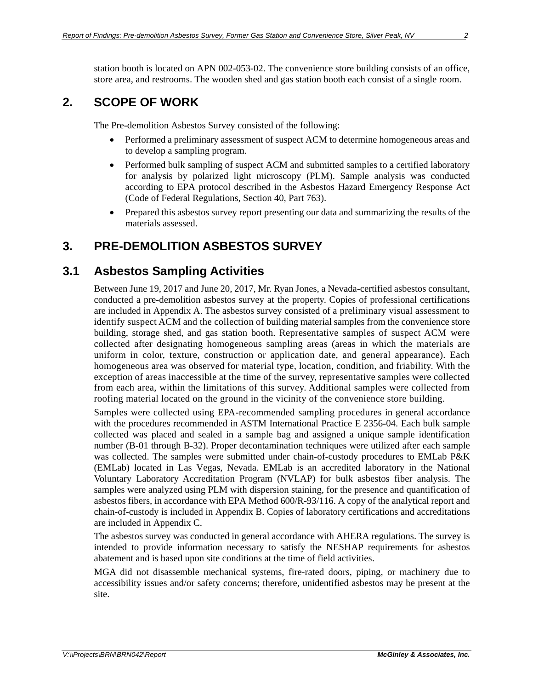station booth is located on APN 002-053-02. The convenience store building consists of an office, store area, and restrooms. The wooden shed and gas station booth each consist of a single room.

# **2. SCOPE OF WORK**

The Pre-demolition Asbestos Survey consisted of the following:

- Performed a preliminary assessment of suspect ACM to determine homogeneous areas and to develop a sampling program.
- Performed bulk sampling of suspect ACM and submitted samples to a certified laboratory for analysis by polarized light microscopy (PLM). Sample analysis was conducted according to EPA protocol described in the Asbestos Hazard Emergency Response Act (Code of Federal Regulations, Section 40, Part 763).
- Prepared this asbestos survey report presenting our data and summarizing the results of the materials assessed.

# **3. PRE-DEMOLITION ASBESTOS SURVEY**

# **3.1 Asbestos Sampling Activities**

Between June 19, 2017 and June 20, 2017, Mr. Ryan Jones, a Nevada-certified asbestos consultant, conducted a pre-demolition asbestos survey at the property. Copies of professional certifications are included in Appendix A. The asbestos survey consisted of a preliminary visual assessment to identify suspect ACM and the collection of building material samples from the convenience store building, storage shed, and gas station booth. Representative samples of suspect ACM were collected after designating homogeneous sampling areas (areas in which the materials are uniform in color, texture, construction or application date, and general appearance). Each homogeneous area was observed for material type, location, condition, and friability. With the exception of areas inaccessible at the time of the survey, representative samples were collected from each area, within the limitations of this survey. Additional samples were collected from roofing material located on the ground in the vicinity of the convenience store building.

Samples were collected using EPA-recommended sampling procedures in general accordance with the procedures recommended in ASTM International Practice E 2356-04. Each bulk sample collected was placed and sealed in a sample bag and assigned a unique sample identification number (B-01 through B-32). Proper decontamination techniques were utilized after each sample was collected. The samples were submitted under chain-of-custody procedures to EMLab P&K (EMLab) located in Las Vegas, Nevada. EMLab is an accredited laboratory in the National Voluntary Laboratory Accreditation Program (NVLAP) for bulk asbestos fiber analysis. The samples were analyzed using PLM with dispersion staining, for the presence and quantification of asbestos fibers, in accordance with EPA Method 600/R-93/116. A copy of the analytical report and chain-of-custody is included in Appendix B. Copies of laboratory certifications and accreditations are included in Appendix C.

The asbestos survey was conducted in general accordance with AHERA regulations. The survey is intended to provide information necessary to satisfy the NESHAP requirements for asbestos abatement and is based upon site conditions at the time of field activities.

MGA did not disassemble mechanical systems, fire-rated doors, piping, or machinery due to accessibility issues and/or safety concerns; therefore, unidentified asbestos may be present at the site.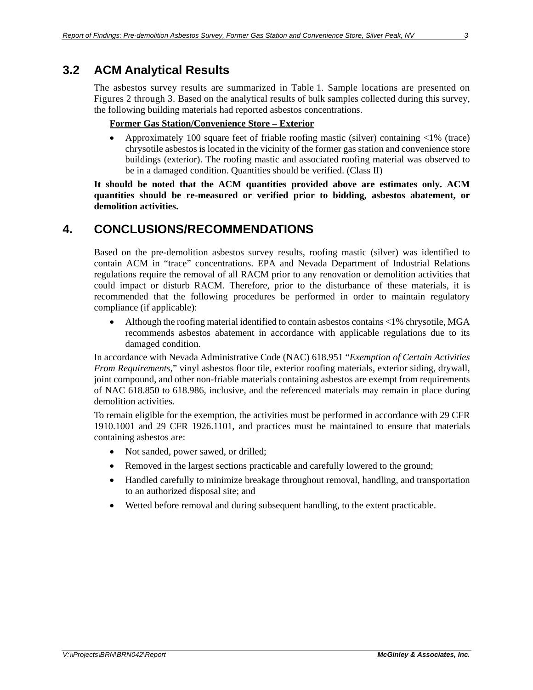# **3.2 ACM Analytical Results**

The asbestos survey results are summarized in Table 1. Sample locations are presented on Figures 2 through 3. Based on the analytical results of bulk samples collected during this survey, the following building materials had reported asbestos concentrations.

#### **Former Gas Station/Convenience Store – Exterior**

 Approximately 100 square feet of friable roofing mastic (silver) containing <1% (trace) chrysotile asbestos is located in the vicinity of the former gas station and convenience store buildings (exterior). The roofing mastic and associated roofing material was observed to be in a damaged condition. Quantities should be verified. (Class II)

**It should be noted that the ACM quantities provided above are estimates only. ACM quantities should be re-measured or verified prior to bidding, asbestos abatement, or demolition activities.**

# **4. CONCLUSIONS/RECOMMENDATIONS**

Based on the pre-demolition asbestos survey results, roofing mastic (silver) was identified to contain ACM in "trace" concentrations. EPA and Nevada Department of Industrial Relations regulations require the removal of all RACM prior to any renovation or demolition activities that could impact or disturb RACM. Therefore, prior to the disturbance of these materials, it is recommended that the following procedures be performed in order to maintain regulatory compliance (if applicable):

 Although the roofing material identified to contain asbestos contains <1% chrysotile, MGA recommends asbestos abatement in accordance with applicable regulations due to its damaged condition.

In accordance with Nevada Administrative Code (NAC) 618.951 "*Exemption of Certain Activities From Requirements,*" vinyl asbestos floor tile, exterior roofing materials, exterior siding, drywall, joint compound, and other non-friable materials containing asbestos are exempt from requirements of NAC 618.850 to 618.986, inclusive, and the referenced materials may remain in place during demolition activities.

To remain eligible for the exemption, the activities must be performed in accordance with 29 CFR 1910.1001 and 29 CFR 1926.1101, and practices must be maintained to ensure that materials containing asbestos are:

- Not sanded, power sawed, or drilled;
- Removed in the largest sections practicable and carefully lowered to the ground;
- Handled carefully to minimize breakage throughout removal, handling, and transportation to an authorized disposal site; and
- Wetted before removal and during subsequent handling, to the extent practicable.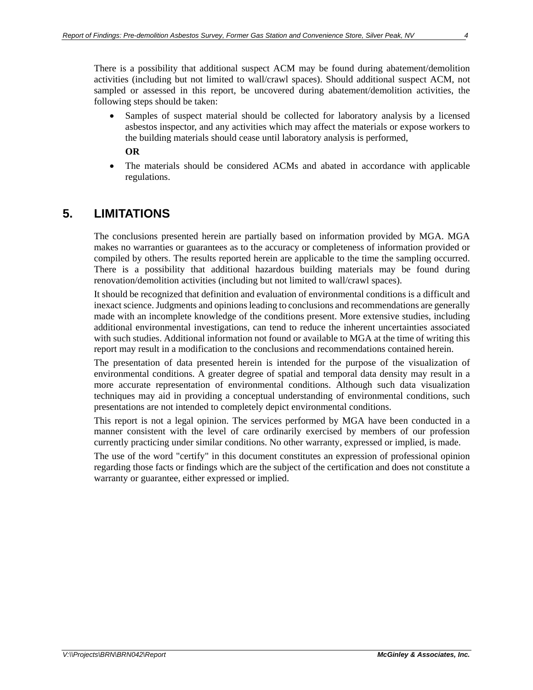Samples of suspect material should be collected for laboratory analysis by a licensed asbestos inspector, and any activities which may affect the materials or expose workers to the building materials should cease until laboratory analysis is performed,

**OR**

 The materials should be considered ACMs and abated in accordance with applicable regulations.

# **5. LIMITATIONS**

The conclusions presented herein are partially based on information provided by MGA. MGA makes no warranties or guarantees as to the accuracy or completeness of information provided or compiled by others. The results reported herein are applicable to the time the sampling occurred. There is a possibility that additional hazardous building materials may be found during renovation/demolition activities (including but not limited to wall/crawl spaces).

It should be recognized that definition and evaluation of environmental conditions is a difficult and inexact science. Judgments and opinions leading to conclusions and recommendations are generally made with an incomplete knowledge of the conditions present. More extensive studies, including additional environmental investigations, can tend to reduce the inherent uncertainties associated with such studies. Additional information not found or available to MGA at the time of writing this report may result in a modification to the conclusions and recommendations contained herein.

The presentation of data presented herein is intended for the purpose of the visualization of environmental conditions. A greater degree of spatial and temporal data density may result in a more accurate representation of environmental conditions. Although such data visualization techniques may aid in providing a conceptual understanding of environmental conditions, such presentations are not intended to completely depict environmental conditions.

This report is not a legal opinion. The services performed by MGA have been conducted in a manner consistent with the level of care ordinarily exercised by members of our profession currently practicing under similar conditions. No other warranty, expressed or implied, is made.

The use of the word "certify" in this document constitutes an expression of professional opinion regarding those facts or findings which are the subject of the certification and does not constitute a warranty or guarantee, either expressed or implied.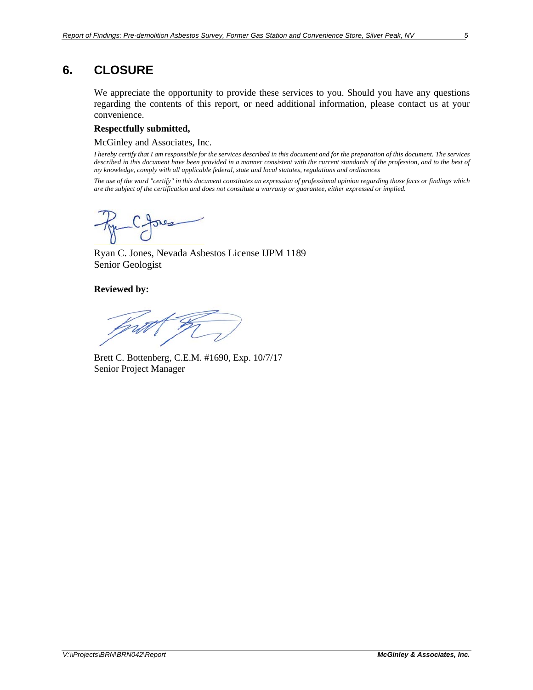# **6. CLOSURE**

We appreciate the opportunity to provide these services to you. Should you have any questions regarding the contents of this report, or need additional information, please contact us at your convenience.

#### **Respectfully submitted,**

McGinley and Associates, Inc.

*I hereby certify that I am responsible for the services described in this document and for the preparation of this document. The services described in this document have been provided in a manner consistent with the current standards of the profession, and to the best of my knowledge, comply with all applicable federal, state and local statutes, regulations and ordinances* 

*The use of the word "certify" in this document constitutes an expression of professional opinion regarding those facts or findings which are the subject of the certification and does not constitute a warranty or guarantee, either expressed or implied.* 

Par Cores

Ryan C. Jones, Nevada Asbestos License IJPM 1189 Senior Geologist

**Reviewed by:** 

Brett C. Bottenberg, C.E.M. #1690, Exp. 10/7/17 Senior Project Manager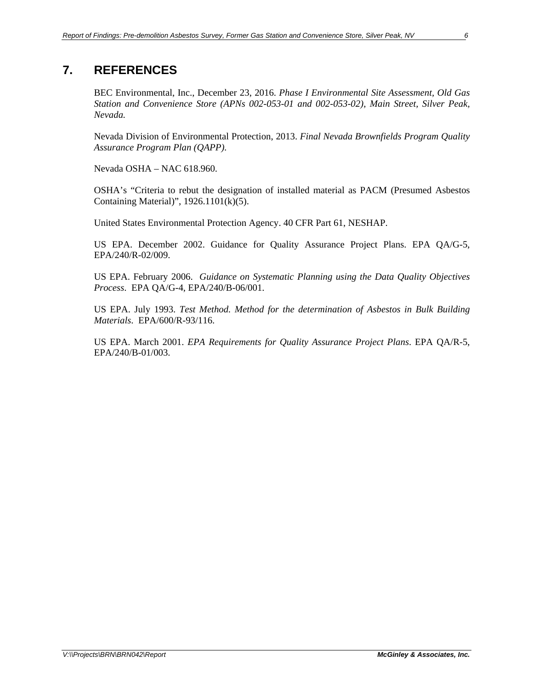# **7. REFERENCES**

BEC Environmental, Inc., December 23, 2016. *Phase I Environmental Site Assessment, Old Gas Station and Convenience Store (APNs 002-053-01 and 002-053-02), Main Street, Silver Peak, Nevada.*

Nevada Division of Environmental Protection, 2013. *Final Nevada Brownfields Program Quality Assurance Program Plan (QAPP).* 

Nevada OSHA – NAC 618.960.

OSHA's "Criteria to rebut the designation of installed material as PACM (Presumed Asbestos Containing Material)", 1926.1101(k)(5).

United States Environmental Protection Agency. 40 CFR Part 61, NESHAP.

US EPA. December 2002. Guidance for Quality Assurance Project Plans. EPA QA/G-5, EPA/240/R-02/009.

US EPA. February 2006. *Guidance on Systematic Planning using the Data Quality Objectives Process*. EPA QA/G-4, EPA/240/B-06/001.

US EPA. July 1993. *Test Method. Method for the determination of Asbestos in Bulk Building Materials*. EPA/600/R-93/116.

US EPA. March 2001. *EPA Requirements for Quality Assurance Project Plans*. EPA QA/R-5, EPA/240/B-01/003.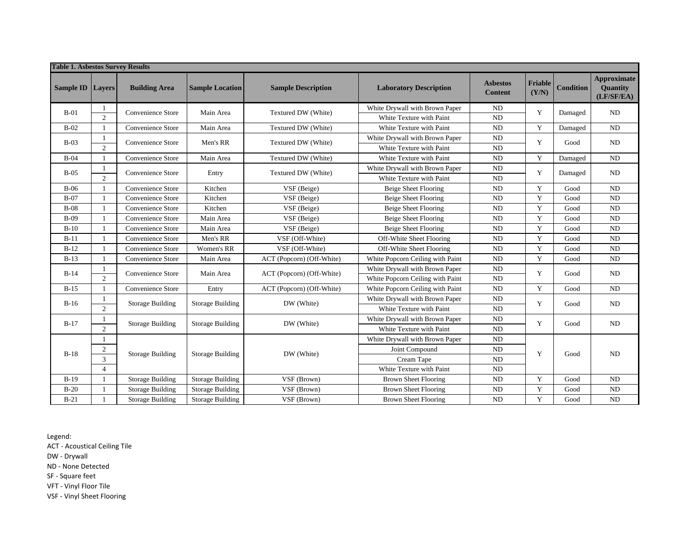| <b>Table 1. Asbestos Survey Results</b> |                |                         |                         |                           |                                  |                                   |                  |                  |                                              |
|-----------------------------------------|----------------|-------------------------|-------------------------|---------------------------|----------------------------------|-----------------------------------|------------------|------------------|----------------------------------------------|
| <b>Sample ID</b>                        | Layers         | <b>Building Area</b>    | <b>Sample Location</b>  | <b>Sample Description</b> | <b>Laboratory Description</b>    | <b>Asbestos</b><br><b>Content</b> | Friable<br>(Y/N) | <b>Condition</b> | <b>Approximate</b><br>Quantity<br>(LF/SF/EA) |
| $B-01$                                  |                | Convenience Store       | Main Area               | Textured DW (White)       | White Drywall with Brown Paper   | <b>ND</b>                         | Y                | Damaged          | ND                                           |
|                                         | $\overline{2}$ |                         |                         |                           | White Texture with Paint         | <b>ND</b>                         |                  |                  |                                              |
| $B-02$                                  |                | Convenience Store       | Main Area               | Textured DW (White)       | White Texture with Paint         | <b>ND</b>                         | Y                | Damaged          | ND                                           |
| $B-03$                                  |                | Convenience Store       | Men's RR                | Textured DW (White)       | White Drywall with Brown Paper   | <b>ND</b>                         | Y                | Good             | ND                                           |
|                                         | $\overline{2}$ |                         |                         |                           | White Texture with Paint         | ND                                |                  |                  |                                              |
| $B-04$                                  |                | Convenience Store       | Main Area               | Textured DW (White)       | White Texture with Paint         | ND                                | $\mathbf Y$      | Damaged          | $\rm ND$                                     |
| $B-05$                                  |                | Convenience Store       | Entry                   | Textured DW (White)       | White Drywall with Brown Paper   | ND                                | Y                | Damaged          | ND                                           |
|                                         | $\overline{2}$ |                         |                         |                           | White Texture with Paint         | <b>ND</b>                         |                  |                  |                                              |
| $B-06$                                  |                | Convenience Store       | Kitchen                 | VSF (Beige)               | <b>Beige Sheet Flooring</b>      | <b>ND</b>                         | Y                | Good             | ND                                           |
| $B-07$                                  |                | Convenience Store       | Kitchen                 | VSF (Beige)               | Beige Sheet Flooring             | <b>ND</b>                         | Y                | Good             | <b>ND</b>                                    |
| $B-08$                                  |                | Convenience Store       | Kitchen                 | VSF (Beige)               | <b>Beige Sheet Flooring</b>      | <b>ND</b>                         | Y                | Good             | $\rm ND$                                     |
| $B-09$                                  |                | Convenience Store       | Main Area               | VSF (Beige)               | <b>Beige Sheet Flooring</b>      | ND                                | $\mathbf Y$      | Good             | <b>ND</b>                                    |
| $B-10$                                  |                | Convenience Store       | Main Area               | VSF (Beige)               | <b>Beige Sheet Flooring</b>      | <b>ND</b>                         | $\mathbf Y$      | Good             | ND                                           |
| $B-11$                                  |                | Convenience Store       | Men's RR                | VSF (Off-White)           | Off-White Sheet Flooring         | ND                                | Y                | Good             | ND                                           |
| $B-12$                                  |                | Convenience Store       | Women's RR              | VSF (Off-White)           | Off-White Sheet Flooring         | <b>ND</b>                         | Y                | Good             | <b>ND</b>                                    |
| $B-13$                                  |                | Convenience Store       | Main Area               | ACT (Popcorn) (Off-White) | White Popcorn Ceiling with Paint | ND                                | Y                | Good             | ND                                           |
| $B-14$                                  |                | Convenience Store       |                         | ACT (Popcorn) (Off-White) | White Drywall with Brown Paper   | ND                                | Y                | Good             | <b>ND</b>                                    |
|                                         | $\overline{2}$ |                         | Main Area               |                           | White Popcorn Ceiling with Paint | <b>ND</b>                         |                  |                  |                                              |
| $B-15$                                  |                | Convenience Store       | Entry                   | ACT (Popcorn) (Off-White) | White Popcorn Ceiling with Paint | <b>ND</b>                         | $\mathbf Y$      | Good             | ND                                           |
| $B-16$                                  | 1              | <b>Storage Building</b> | <b>Storage Building</b> | DW (White)                | White Drywall with Brown Paper   | ND                                | Y                | Good             | ND                                           |
|                                         | $\overline{2}$ |                         |                         |                           | White Texture with Paint         | <b>ND</b>                         |                  |                  |                                              |
| $B-17$                                  |                | <b>Storage Building</b> | <b>Storage Building</b> | DW (White)                | White Drywall with Brown Paper   | $\rm ND$                          | Y                | Good             | <b>ND</b>                                    |
|                                         | $\overline{2}$ |                         |                         |                           | White Texture with Paint         | <b>ND</b>                         |                  |                  |                                              |
|                                         | 1              |                         |                         |                           | White Drywall with Brown Paper   | ND                                |                  |                  |                                              |
| $B-18$                                  | $\overline{c}$ |                         | <b>Storage Building</b> | DW (White)                | Joint Compound                   | <b>ND</b>                         | Y                | Good             | <b>ND</b>                                    |
|                                         | $\overline{3}$ | <b>Storage Building</b> |                         |                           | Cream Tape                       | ND                                |                  |                  |                                              |
|                                         | $\overline{4}$ |                         |                         |                           | White Texture with Paint         | <b>ND</b>                         |                  |                  |                                              |
| $B-19$                                  |                | <b>Storage Building</b> | <b>Storage Building</b> | VSF (Brown)               | <b>Brown Sheet Flooring</b>      | <b>ND</b>                         | Y                | Good             | <b>ND</b>                                    |
| $B-20$                                  |                | <b>Storage Building</b> | <b>Storage Building</b> | VSF (Brown)               | <b>Brown Sheet Flooring</b>      | ND                                | $\mathbf Y$      | Good             | $\rm ND$                                     |
| $B-21$                                  |                | <b>Storage Building</b> | <b>Storage Building</b> | VSF (Brown)               | <b>Brown Sheet Flooring</b>      | <b>ND</b>                         | $\mathbf Y$      | Good             | <b>ND</b>                                    |

Legend:

ACT ‐ Acoustical Ceiling Tile

DW ‐ Drywall

ND ‐ None Detected

SF ‐ Square feet

VFT ‐ Vinyl Floor Tile

VSF ‐ Vinyl Sheet Flooring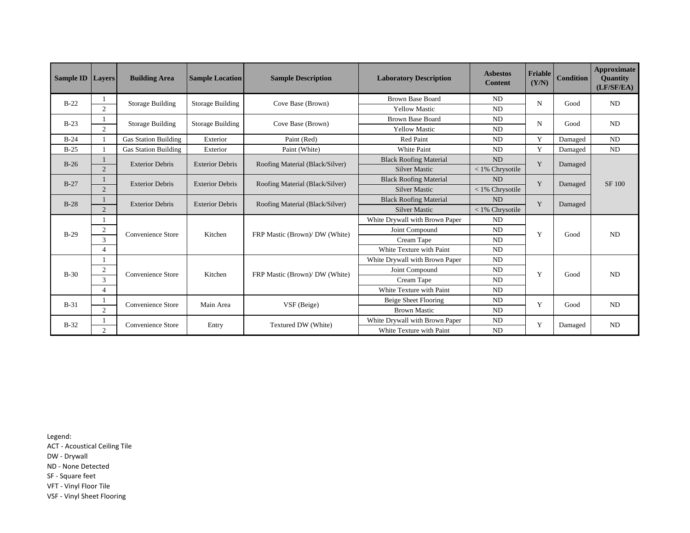| <b>Sample ID</b> Layers |                | <b>Building Area</b>        | <b>Sample Location</b>  | <b>Sample Description</b>       | <b>Laboratory Description</b>  | <b>Asbestos</b><br><b>Content</b> | Friable<br>(Y/N) | <b>Condition</b> | <b>Approximate</b><br><b>Quantity</b><br>(LF/SF/EA) |  |
|-------------------------|----------------|-----------------------------|-------------------------|---------------------------------|--------------------------------|-----------------------------------|------------------|------------------|-----------------------------------------------------|--|
| $B-22$                  |                | <b>Storage Building</b>     | <b>Storage Building</b> | Cove Base (Brown)               | <b>Brown Base Board</b>        | ND                                | $\mathbf N$      | Good             | ND                                                  |  |
|                         | $\overline{c}$ |                             |                         |                                 | <b>Yellow Mastic</b>           | <b>ND</b>                         |                  |                  |                                                     |  |
| $B-23$                  |                | Storage Building            | Storage Building        | Cove Base (Brown)               | <b>Brown Base Board</b>        | ND                                | N                | Good             | ND                                                  |  |
|                         | $\overline{2}$ |                             |                         |                                 | <b>Yellow Mastic</b>           | ND                                |                  |                  |                                                     |  |
| $B-24$                  |                | <b>Gas Station Building</b> | Exterior                | Paint (Red)                     | <b>Red Paint</b>               | ND                                | Y                | Damaged          | <b>ND</b>                                           |  |
| $B-25$                  |                | <b>Gas Station Building</b> | Exterior                | Paint (White)                   | White Paint                    | <b>ND</b>                         | Y                | Damaged          | ND                                                  |  |
| $B-26$                  |                | <b>Exterior Debris</b>      | <b>Exterior Debris</b>  | Roofing Material (Black/Silver) | <b>Black Roofing Material</b>  | ND                                | Y                |                  | Damaged                                             |  |
|                         | $\overline{2}$ |                             |                         |                                 | <b>Silver Mastic</b>           | < 1% Chrysotile                   |                  |                  |                                                     |  |
| $B-27$                  |                | <b>Exterior Debris</b>      | <b>Exterior Debris</b>  | Roofing Material (Black/Silver) | <b>Black Roofing Material</b>  | <b>ND</b>                         | Y                | Damaged          | <b>SF 100</b>                                       |  |
|                         | $\overline{2}$ |                             |                         |                                 | <b>Silver Mastic</b>           | < 1% Chrysotile                   |                  |                  |                                                     |  |
| $B-28$                  |                | <b>Exterior Debris</b>      | <b>Exterior Debris</b>  | Roofing Material (Black/Silver) | <b>Black Roofing Material</b>  | ND                                | Y                | Damaged          |                                                     |  |
|                         | $\overline{2}$ |                             |                         |                                 | <b>Silver Mastic</b>           | < 1% Chrysotile                   |                  |                  |                                                     |  |
|                         |                |                             |                         |                                 | White Drywall with Brown Paper | N <sub>D</sub>                    |                  |                  |                                                     |  |
| $B-29$                  | $\overline{2}$ | Convenience Store           | Kitchen                 | FRP Mastic (Brown)/ DW (White)  | Joint Compound                 | ND                                | Y                | Good             | ND                                                  |  |
|                         | 3              |                             |                         |                                 | Cream Tape                     | N <sub>D</sub>                    |                  |                  |                                                     |  |
|                         | $\overline{4}$ |                             |                         |                                 | White Texture with Paint       | ND                                |                  |                  |                                                     |  |
|                         |                |                             |                         |                                 | White Drywall with Brown Paper | ND                                |                  |                  |                                                     |  |
| $B-30$                  | 2              | Convenience Store           | Kitchen                 | FRP Mastic (Brown)/ DW (White)  | Joint Compound                 | ND                                | Y                | Good             | ND                                                  |  |
|                         | 3              |                             |                         |                                 | Cream Tape<br>ND               |                                   |                  |                  |                                                     |  |
|                         | $\overline{4}$ |                             |                         |                                 | White Texture with Paint       | ND                                |                  |                  |                                                     |  |
| $B-31$                  |                | Convenience Store           | Main Area               | VSF (Beige)                     | Beige Sheet Flooring           | ND                                | Y                | Good             | ND                                                  |  |
|                         | $\overline{2}$ |                             |                         |                                 | <b>Brown Mastic</b>            | ND                                |                  |                  |                                                     |  |
| $B-32$                  |                | Convenience Store           | Entry                   | Textured DW (White)             | White Drywall with Brown Paper | ND                                | Y                | Damaged          | ND                                                  |  |
|                         | $\mathfrak{D}$ |                             |                         |                                 | White Texture with Paint       | ND                                |                  |                  |                                                     |  |

Legend:

ACT ‐ Acoustical Ceiling Tile

DW ‐ Drywall

ND ‐ None Detected

SF ‐ Square feet

VFT ‐ Vinyl Floor Tile

VSF ‐ Vinyl Sheet Flooring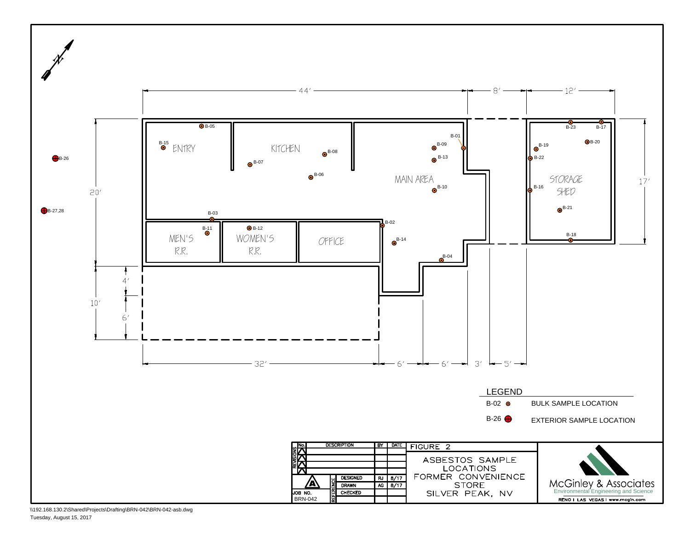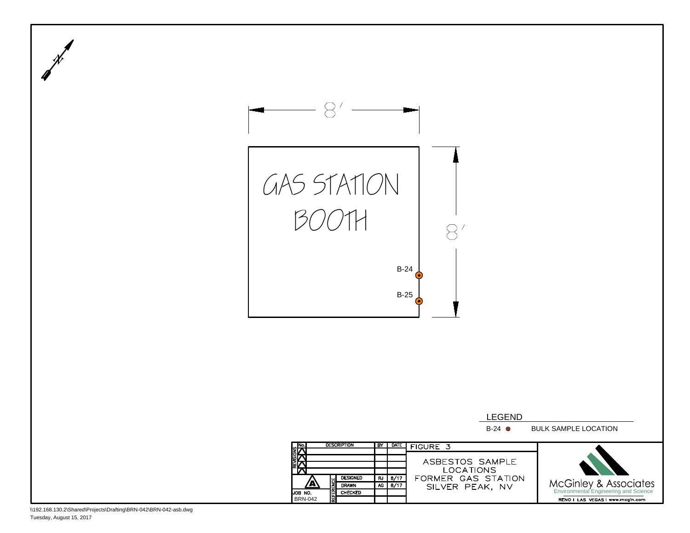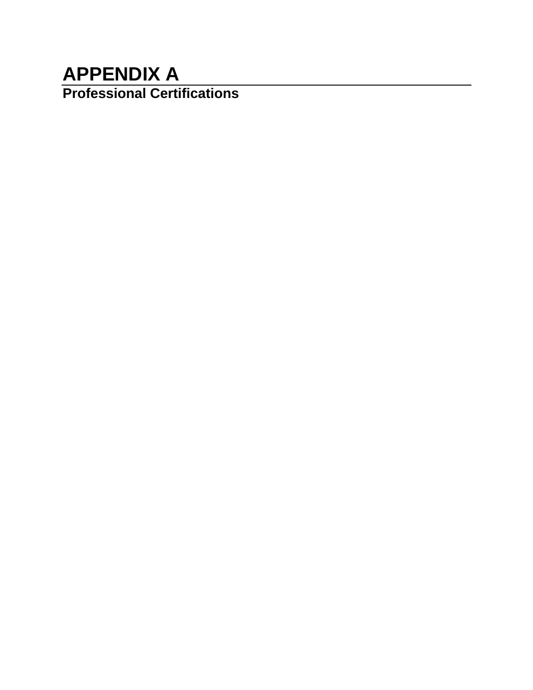# **APPENDIX A Professional Certifications**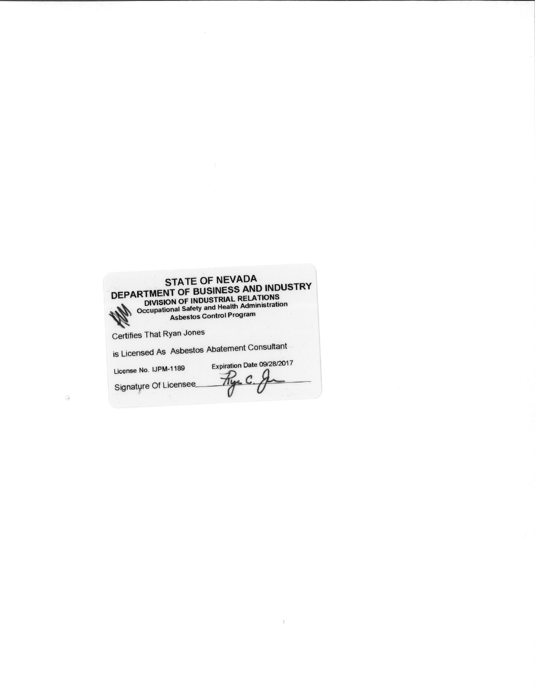| <b>STATE OF NEVADA</b><br>DEPARTMENT OF BUSINESS AND INDUSTRY<br>DIVISION OF INDUSTRIAL RELATIONS<br>Occupational Safety and Health Administration<br><b>Asbestos Control Program</b> |
|---------------------------------------------------------------------------------------------------------------------------------------------------------------------------------------|
| Certifies That Ryan Jones                                                                                                                                                             |
| is Licensed As Asbestos Abatement Consultant                                                                                                                                          |
| Expiration Date 09/28/2017<br>License No. IJPM-1189                                                                                                                                   |
| Signature Of Licensee                                                                                                                                                                 |

 $\mathbb{I}$ 

 $\odot$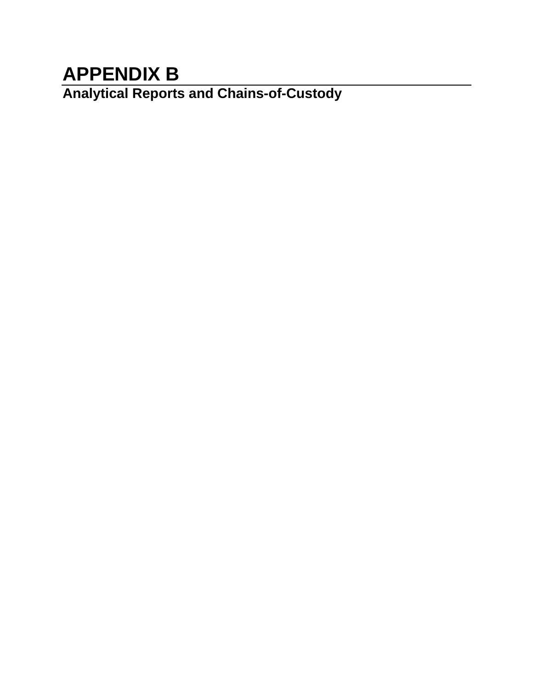# **APPENDIX B**

**Analytical Reports and Chains-of-Custody**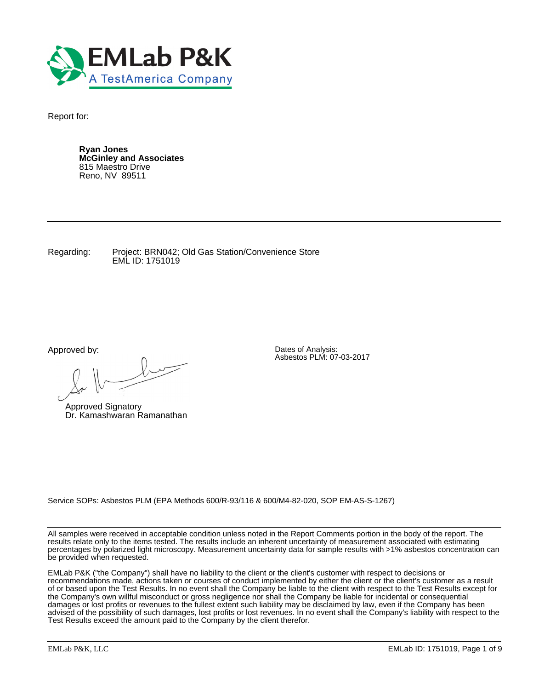

Report for:

**Ryan Jones McGinley and Associates** 815 Maestro Drive Reno, NV 89511

Regarding: Project: BRN042; Old Gas Station/Convenience Store EML ID: 1751019

Approved by:

 $\ell$ 

Approved Signatory Dr. Kamashwaran Ramanathan

Dates of Analysis: Asbestos PLM: 07-03-2017

Service SOPs: Asbestos PLM (EPA Methods 600/R-93/116 & 600/M4-82-020, SOP EM-AS-S-1267)

All samples were received in acceptable condition unless noted in the Report Comments portion in the body of the report. The results relate only to the items tested. The results include an inherent uncertainty of measurement associated with estimating percentages by polarized light microscopy. Measurement uncertainty data for sample results with >1% asbestos concentration can be provided when requested.

EMLab P&K ("the Company") shall have no liability to the client or the client's customer with respect to decisions or recommendations made, actions taken or courses of conduct implemented by either the client or the client's customer as a result of or based upon the Test Results. In no event shall the Company be liable to the client with respect to the Test Results except for the Company's own willful misconduct or gross negligence nor shall the Company be liable for incidental or consequential damages or lost profits or revenues to the fullest extent such liability may be disclaimed by law, even if the Company has been advised of the possibility of such damages, lost profits or lost revenues. In no event shall the Company's liability with respect to the Test Results exceed the amount paid to the Company by the client therefor.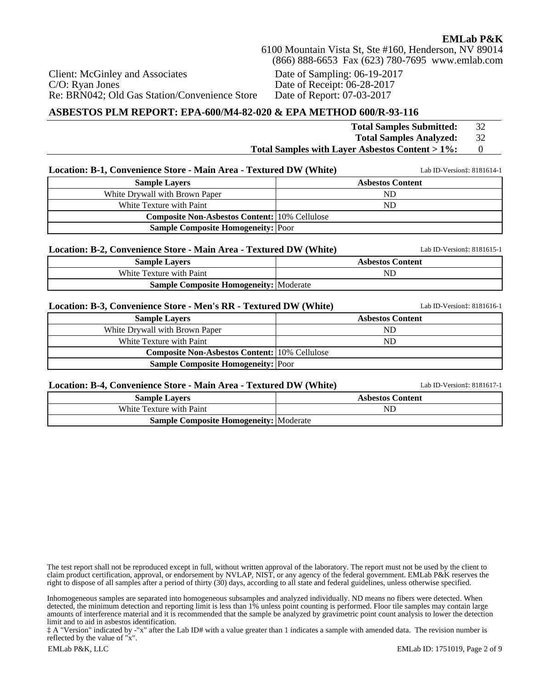Client: McGinley and Associates C/O: Ryan Jones Re: BRN042; Old Gas Station/Convenience Store Date of Sampling: 06-19-2017 Date of Receipt: 06-28-2017 Date of Report: 07-03-2017

### **ASBESTOS PLM REPORT: EPA-600/M4-82-020 & EPA METHOD 600/R-93-116**

**Sample Composite Homogeneity: Moderate** 

|                                                                    | <b>Total Samples Submitted:</b>                 | 32             |
|--------------------------------------------------------------------|-------------------------------------------------|----------------|
|                                                                    | <b>Total Samples Analyzed:</b>                  | 32             |
|                                                                    | Total Samples with Layer Asbestos Content > 1%: | $\overline{0}$ |
|                                                                    |                                                 |                |
| Location: B-1, Convenience Store - Main Area - Textured DW (White) | Lab ID-Version:: 8181614-1                      |                |
| <b>Sample Layers</b>                                               | <b>Asbestos Content</b>                         |                |
| White Drywall with Brown Paper                                     | <b>ND</b>                                       |                |
| White Texture with Paint                                           | <b>ND</b>                                       |                |
| <b>Composite Non-Asbestos Content:</b> 10% Cellulose               |                                                 |                |
| <b>Sample Composite Homogeneity:</b> Poor                          |                                                 |                |
| Location: B-2, Convenience Store - Main Area - Textured DW (White) | Lab ID-Version:: 8181615-1                      |                |
| <b>Sample Layers</b>                                               | <b>Asbestos Content</b>                         |                |
| White Texture with Paint                                           | <b>ND</b>                                       |                |
| <b>Sample Composite Homogeneity:</b> Moderate                      |                                                 |                |
| Location: B-3, Convenience Store - Men's RR - Textured DW (White)  | Lab ID-Version:: 8181616-1                      |                |
| <b>Sample Layers</b>                                               | <b>Asbestos Content</b>                         |                |
| White Drywall with Brown Paper                                     | <b>ND</b>                                       |                |
| White Texture with Paint                                           | <b>ND</b>                                       |                |
| <b>Composite Non-Asbestos Content: 10% Cellulose</b>               |                                                 |                |
| <b>Sample Composite Homogeneity: Poor</b>                          |                                                 |                |
| Location: B-4, Convenience Store - Main Area - Textured DW (White) | Lab ID-Version:: 8181617-1                      |                |
| <b>Sample Layers</b>                                               | <b>Asbestos Content</b>                         |                |
| White Texture with Paint                                           | <b>ND</b>                                       |                |

The test report shall not be reproduced except in full, without written approval of the laboratory. The report must not be used by the client to claim product certification, approval, or endorsement by NVLAP, NIST, or any agency of the federal government. EMLab P&K reserves the right to dispose of all samples after a period of thirty (30) days, according to all state and federal guidelines, unless otherwise specified.

Inhomogeneous samples are separated into homogeneous subsamples and analyzed individually. ND means no fibers were detected. When detected, the minimum detection and reporting limit is less than 1% unless point counting is performed. Floor tile samples may contain large amounts of interference material and it is recommended that the sample be analyzed by gravimetric point count analysis to lower the detection limit and to aid in asbestos identification.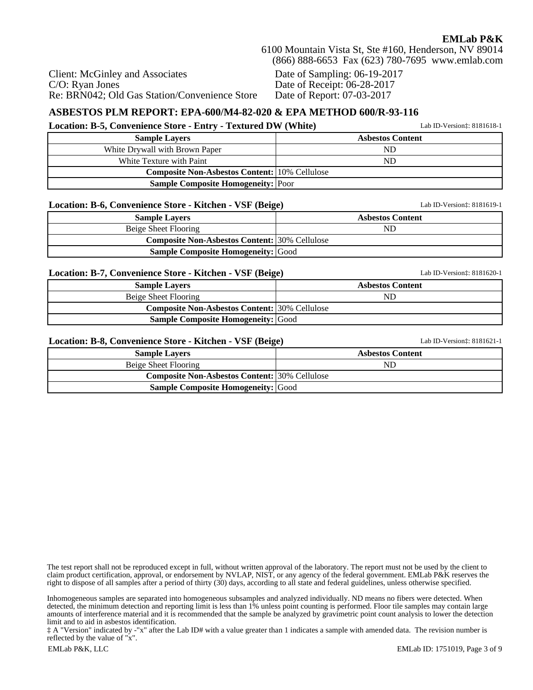Client: McGinley and Associates C/O: Ryan Jones Re: BRN042; Old Gas Station/Convenience Store Date of Sampling: 06-19-2017 Date of Receipt: 06-28-2017 Date of Report: 07-03-2017

# **ASBESTOS PLM REPORT: EPA-600/M4-82-020 & EPA METHOD 600/R-93-116**

#### **Location: B-5, Convenience Store - Entry - Textured DW (White)** Lab ID-Version‡: 8181618-1

| <b>Sample Lavers</b>                                 | <b>Asbestos Content</b> |
|------------------------------------------------------|-------------------------|
| White Drywall with Brown Paper                       | ND                      |
| White Texture with Paint                             | ND                      |
| <b>Composite Non-Asbestos Content:</b> 10% Cellulose |                         |
| <b>Sample Composite Homogeneity:</b> Poor            |                         |

#### **Location: B-6, Convenience Store - Kitchen - VSF (Beige)** Lab ID-Version‡: 8181619-1

| $\frac{1}{2}$                                        |                         |
|------------------------------------------------------|-------------------------|
| <b>Sample Lavers</b>                                 | <b>Asbestos Content</b> |
| Beige Sheet Flooring                                 | ND                      |
| <b>Composite Non-Asbestos Content: 30% Cellulose</b> |                         |
| <b>Sample Composite Homogeneity: Good</b>            |                         |

#### **Location: B-7, Convenience Store - Kitchen - VSF (Beige)** Lab ID-Version‡: 8181620-1

| <b>Sample Lavers</b>                                 | <b>Asbestos Content</b> |
|------------------------------------------------------|-------------------------|
| Beige Sheet Flooring                                 | ND                      |
| <b>Composite Non-Asbestos Content: 30% Cellulose</b> |                         |
| <b>Sample Composite Homogeneity:</b> Good            |                         |

#### **Location: B-8, Convenience Store - Kitchen - VSF (Beige)** Lab ID-Version‡: 8181621-1

### **Sample Layers Asbestos Content** Beige Sheet Flooring ND **Composite Non-Asbestos Content: 30% Cellulose Sample Composite Homogeneity:** Good

The test report shall not be reproduced except in full, without written approval of the laboratory. The report must not be used by the client to claim product certification, approval, or endorsement by NVLAP, NIST, or any agency of the federal government. EMLab P&K reserves the right to dispose of all samples after a period of thirty (30) days, according to all state and federal guidelines, unless otherwise specified.

Inhomogeneous samples are separated into homogeneous subsamples and analyzed individually. ND means no fibers were detected. When detected, the minimum detection and reporting limit is less than 1% unless point counting is performed. Floor tile samples may contain large amounts of interference material and it is recommended that the sample be analyzed by gravimetric point count analysis to lower the detection limit and to aid in asbestos identification.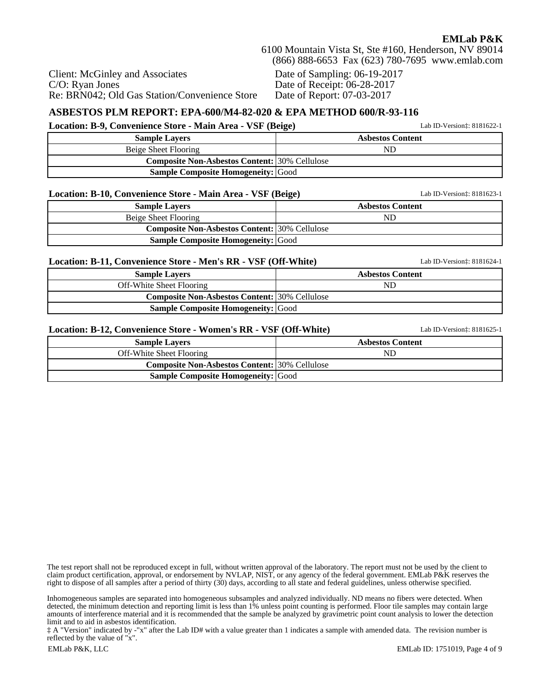Re: BRN042; Old Gas Station/Convenience Store Date of Sampling: 06-19-2017 Date of Receipt: 06-28-2017 Date of Report: 07-03-2017

#### **ASBESTOS PLM REPORT: EPA-600/M4-82-020 & EPA METHOD 600/R-93-116**

**Location: B-9, Convenience Store - Main Area - VSF (Beige)** Lab ID-Version‡: 8181622-1

| <b>Sample Lavers</b>                                 | <b>Asbestos Content</b> |
|------------------------------------------------------|-------------------------|
| Beige Sheet Flooring                                 | ND                      |
| <b>Composite Non-Asbestos Content: 30% Cellulose</b> |                         |
| <b>Sample Composite Homogeneity:</b> Good            |                         |

#### **Location: B-10, Convenience Store - Main Area - VSF (Beige)** Lab ID-Version‡: 8181623-1

Client: McGinley and Associates

C/O: Ryan Jones

| <b>Sample Lavers</b>                                 | <b>Asbestos Content</b> |
|------------------------------------------------------|-------------------------|
| Beige Sheet Flooring                                 | ND                      |
| <b>Composite Non-Asbestos Content: 30% Cellulose</b> |                         |
| <b>Sample Composite Homogeneity:</b> Good            |                         |

#### **Location: B-11, Convenience Store - Men's RR - VSF (Off-White)** Lab ID-Version‡: 8181624-1

| <b>Sample Lavers</b>                                 | <b>Asbestos Content</b> |
|------------------------------------------------------|-------------------------|
| Off-White Sheet Flooring                             | ND                      |
| <b>Composite Non-Asbestos Content: 30% Cellulose</b> |                         |
| <b>Sample Composite Homogeneity:</b> Good            |                         |

#### **Location: B-12, Convenience Store - Women's RR - VSF (Off-White)** Lab ID-Version‡: 8181625-1

| <b>Sample Lavers</b>                                 | <b>Asbestos Content</b> |
|------------------------------------------------------|-------------------------|
| Off-White Sheet Flooring                             | ND                      |
| <b>Composite Non-Asbestos Content: 30% Cellulose</b> |                         |
| <b>Sample Composite Homogeneity: Good</b>            |                         |

The test report shall not be reproduced except in full, without written approval of the laboratory. The report must not be used by the client to claim product certification, approval, or endorsement by NVLAP, NIST, or any agency of the federal government. EMLab P&K reserves the right to dispose of all samples after a period of thirty (30) days, according to all state and federal guidelines, unless otherwise specified.

Inhomogeneous samples are separated into homogeneous subsamples and analyzed individually. ND means no fibers were detected. When detected, the minimum detection and reporting limit is less than 1% unless point counting is performed. Floor tile samples may contain large amounts of interference material and it is recommended that the sample be analyzed by gravimetric point count analysis to lower the detection limit and to aid in asbestos identification.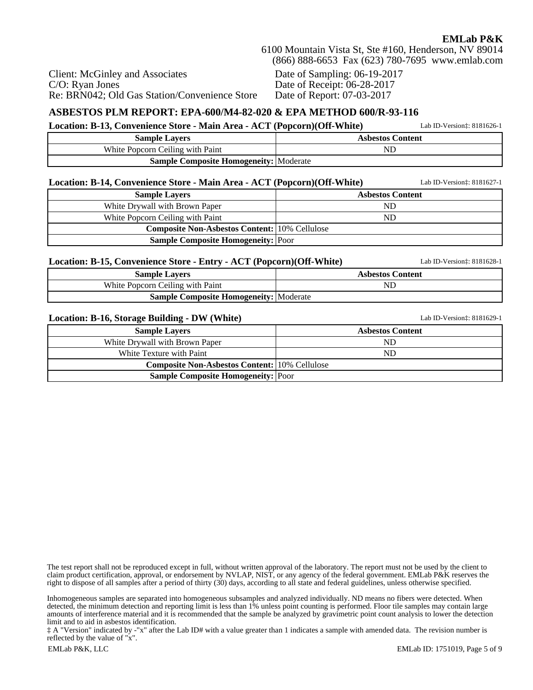Client: McGinley and Associates C/O: Ryan Jones Re: BRN042; Old Gas Station/Convenience Store Date of Sampling: 06-19-2017 Date of Receipt: 06-28-2017 Date of Report: 07-03-2017

### **ASBESTOS PLM REPORT: EPA-600/M4-82-020 & EPA METHOD 600/R-93-116**

**Location: B-13, Convenience Store - Main Area - ACT (Popcorn)(Off-White)** Lab ID-Version‡: 8181626-1

| <b>Sample Lavers</b>                          | <b>Asbestos Content</b> |
|-----------------------------------------------|-------------------------|
| White Popcorn Ceiling with Paint              | NL                      |
| <b>Sample Composite Homogeneity:</b> Moderate |                         |

| Location: B-14, Convenience Store - Main Area - ACT (Popcorn)(Off-White) | Lab ID-Version: 8181627-1 |
|--------------------------------------------------------------------------|---------------------------|
| <b>Sample Layers</b>                                                     | <b>Asbestos Content</b>   |
| White Drywall with Brown Paper                                           | ND                        |
| White Popcorn Ceiling with Paint                                         | ND                        |
| <b>Composite Non-Asbestos Content: 10% Cellulose</b>                     |                           |
| <b>Sample Composite Homogeneity: Poor</b>                                |                           |

#### **Location: B-15, Convenience Store - Entry - ACT (Popcorn)(Off-White)** Lab ID-Version‡: 8181628-1

| <b>Sample Lavers</b>                          | <b>Asbestos Content</b> |
|-----------------------------------------------|-------------------------|
| White Popcorn Ceiling with Paint              | NI                      |
| <b>Sample Composite Homogeneity:</b> Moderate |                         |

#### **Location: B-16, Storage Building - DW (White)** Lab ID-Version‡: 8181629-1

**Sample Layers Asbestos Content** White Drywall with Brown Paper ND White Texture with Paint ND **Composite Non-Asbestos Content:** 10% Cellulose **Sample Composite Homogeneity: Poor** 

The test report shall not be reproduced except in full, without written approval of the laboratory. The report must not be used by the client to claim product certification, approval, or endorsement by NVLAP, NIST, or any agency of the federal government. EMLab P&K reserves the right to dispose of all samples after a period of thirty (30) days, according to all state and federal guidelines, unless otherwise specified.

Inhomogeneous samples are separated into homogeneous subsamples and analyzed individually. ND means no fibers were detected. When detected, the minimum detection and reporting limit is less than 1% unless point counting is performed. Floor tile samples may contain large amounts of interference material and it is recommended that the sample be analyzed by gravimetric point count analysis to lower the detection limit and to aid in asbestos identification.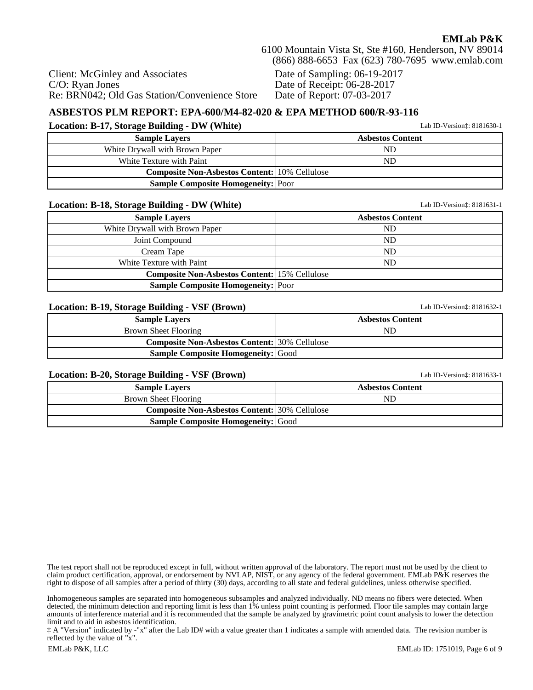Client: McGinley and Associates C/O: Ryan Jones Re: BRN042; Old Gas Station/Convenience Store Date of Sampling: 06-19-2017 Date of Receipt: 06-28-2017 Date of Report: 07-03-2017

### **ASBESTOS PLM REPORT: EPA-600/M4-82-020 & EPA METHOD 600/R-93-116**

#### **Location: B-17, Storage Building - DW (White)** Lab ID-Version‡: 8181630-1

| <b>Sample Lavers</b>                                 | <b>Asbestos Content</b> |
|------------------------------------------------------|-------------------------|
| White Drywall with Brown Paper                       | ND                      |
| White Texture with Paint                             | ND                      |
| <b>Composite Non-Asbestos Content: 10% Cellulose</b> |                         |
| <b>Sample Composite Homogeneity: Poor</b>            |                         |

#### **Location: B-18, Storage Building - DW (White)** Lab ID-Version<sup>†</sup>: 8181631-1

| <b>Sample Layers</b>                                 | <b>Asbestos Content</b> |
|------------------------------------------------------|-------------------------|
| White Drywall with Brown Paper                       | ND                      |
| Joint Compound                                       | ND                      |
| Cream Tape                                           | ND                      |
| White Texture with Paint                             | ND.                     |
| <b>Composite Non-Asbestos Content: 15% Cellulose</b> |                         |
| <b>Sample Composite Homogeneity: Poor</b>            |                         |
|                                                      |                         |

#### **Location: B-19, Storage Building - VSF (Brown)** Lab ID-Version‡: 8181632-1

| -                                                    |                         |
|------------------------------------------------------|-------------------------|
| <b>Sample Lavers</b>                                 | <b>Asbestos Content</b> |
| Brown Sheet Flooring                                 | ND                      |
| <b>Composite Non-Asbestos Content: 30% Cellulose</b> |                         |
| <b>Sample Composite Homogeneity: Good</b>            |                         |

#### **Location: B-20, Storage Building - VSF (Brown)** Lab ID-Version‡: 8181633-1

| <b>Sample Layers</b>                                 | <b>Asbestos Content</b> |
|------------------------------------------------------|-------------------------|
| Brown Sheet Flooring                                 | ND                      |
| <b>Composite Non-Asbestos Content:</b> 30% Cellulose |                         |
| <b>Sample Composite Homogeneity: Good</b>            |                         |

The test report shall not be reproduced except in full, without written approval of the laboratory. The report must not be used by the client to claim product certification, approval, or endorsement by NVLAP, NIST, or any agency of the federal government. EMLab P&K reserves the right to dispose of all samples after a period of thirty (30) days, according to all state and federal guidelines, unless otherwise specified.

Inhomogeneous samples are separated into homogeneous subsamples and analyzed individually. ND means no fibers were detected. When detected, the minimum detection and reporting limit is less than 1% unless point counting is performed. Floor tile samples may contain large amounts of interference material and it is recommended that the sample be analyzed by gravimetric point count analysis to lower the detection limit and to aid in asbestos identification.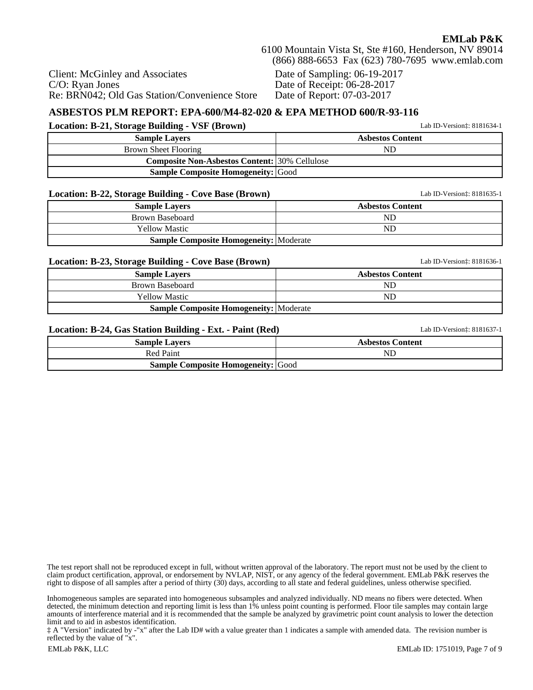Date of Sampling: 06-19-2017 Date of Receipt: 06-28-2017 Date of Report: 07-03-2017

## **ASBESTOS PLM REPORT: EPA-600/M4-82-020 & EPA METHOD 600/R-93-116**

#### **Location: B-21, Storage Building - VSF (Brown)** Lab ID-Version‡: 8181634-1

Re: BRN042; Old Gas Station/Convenience Store

Client: McGinley and Associates

C/O: Ryan Jones

| <b>Sample Lavers</b>                                 | <b>Asbestos Content</b> |
|------------------------------------------------------|-------------------------|
| Brown Sheet Flooring                                 | ND                      |
| <b>Composite Non-Asbestos Content:</b> 30% Cellulose |                         |
| <b>Sample Composite Homogeneity: Good</b>            |                         |

#### **Location: B-22, Storage Building - Cove Base (Brown)** Lab ID-Version‡: 8181635-1

| -<br><b>Sample Layers</b>                     | <b>Asbestos Content</b> |
|-----------------------------------------------|-------------------------|
| Brown Baseboard                               | ND                      |
| <b>Yellow Mastic</b>                          | ND                      |
| <b>Sample Composite Homogeneity: Moderate</b> |                         |

#### **Location: B-23, Storage Building - Cove Base (Brown)** Lab ID-Version‡: 8181636-1

| __________                                    |                         |
|-----------------------------------------------|-------------------------|
| <b>Sample Lavers</b>                          | <b>Asbestos Content</b> |
| Brown Baseboard                               | ND                      |
| <b>Yellow Mastic</b>                          | ND                      |
| <b>Sample Composite Homogeneity: Moderate</b> |                         |

#### **Location: B-24, Gas Station Building - Ext. - Paint (Red)** Lab ID-Version‡: 8181637-1

| <b>Sample Lavers</b>                      | <b>Asbestos Content</b> |  |
|-------------------------------------------|-------------------------|--|
| <b>Red Paint</b>                          | ND                      |  |
| <b>Sample Composite Homogeneity:</b> Good |                         |  |

The test report shall not be reproduced except in full, without written approval of the laboratory. The report must not be used by the client to claim product certification, approval, or endorsement by NVLAP, NIST, or any agency of the federal government. EMLab P&K reserves the right to dispose of all samples after a period of thirty (30) days, according to all state and federal guidelines, unless otherwise specified.

Inhomogeneous samples are separated into homogeneous subsamples and analyzed individually. ND means no fibers were detected. When detected, the minimum detection and reporting limit is less than 1% unless point counting is performed. Floor tile samples may contain large amounts of interference material and it is recommended that the sample be analyzed by gravimetric point count analysis to lower the detection limit and to aid in asbestos identification.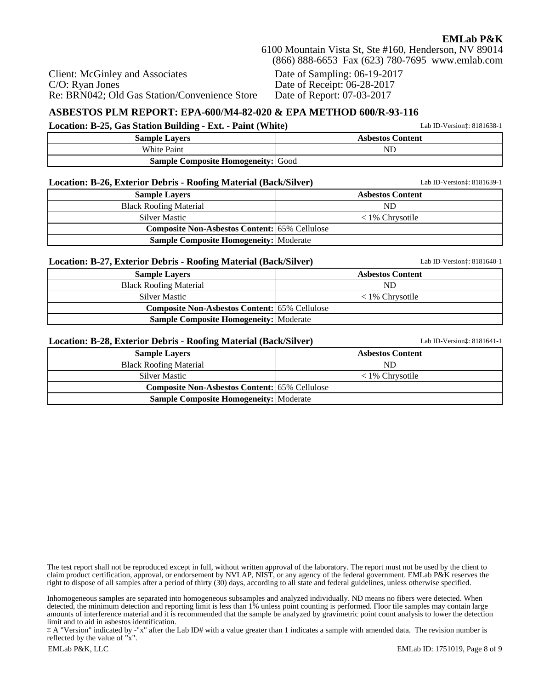Client: McGinley and Associates C/O: Ryan Jones Re: BRN042; Old Gas Station/Convenience Store

Date of Sampling: 06-19-2017 Date of Receipt: 06-28-2017 Date of Report: 07-03-2017

#### **ASBESTOS PLM REPORT: EPA-600/M4-82-020 & EPA METHOD 600/R-93-116 Location: B-25, Gas Station Building - Ext. - Paint (White)** Lab ID-Version: 8181638-1

| $\frac{1}{2}$                             |                         |  |  |  |
|-------------------------------------------|-------------------------|--|--|--|
| <b>Sample Lavers</b>                      | <b>Asbestos Content</b> |  |  |  |
| <b>White Paint</b>                        | NĽ                      |  |  |  |
| <b>Sample Composite Homogeneity:</b> Good |                         |  |  |  |

#### **Location: B-26, Exterior Debris - Roofing Material (Back/Silver)** Lab ID-Version‡: 8181639-1

| <b>Sample Lavers</b>                                 | <b>Asbestos Content</b>  |  |  |  |
|------------------------------------------------------|--------------------------|--|--|--|
| <b>Black Roofing Material</b>                        | ND                       |  |  |  |
| <b>Silver Mastic</b>                                 | $\langle 1\%$ Chrysotile |  |  |  |
| <b>Composite Non-Asbestos Content: 65% Cellulose</b> |                          |  |  |  |
| <b>Sample Composite Homogeneity:</b> Moderate        |                          |  |  |  |

#### **Location: B-27, Exterior Debris - Roofing Material (Back/Silver)** Lab ID-Version‡: 8181640-1

**Sample Layers Asbestos Content** Black Roofing Material ND Silver Mastic  $\langle 1\% \text{ Chrysotile} \rangle$ **Composite Non-Asbestos Content:** 65% Cellulose **Sample Composite Homogeneity: Moderate** 

#### **Location: B-28, Exterior Debris - Roofing Material (Back/Silver)** Lab ID-Version‡: 8181641-1

| $\overline{\phantom{a}}$                             |                          |
|------------------------------------------------------|--------------------------|
| <b>Sample Lavers</b>                                 | <b>Asbestos Content</b>  |
| <b>Black Roofing Material</b>                        | ND                       |
| <b>Silver Mastic</b>                                 | $\langle 1\%$ Chrysotile |
| <b>Composite Non-Asbestos Content:</b> 65% Cellulose |                          |
| <b>Sample Composite Homogeneity:</b> Moderate        |                          |

The test report shall not be reproduced except in full, without written approval of the laboratory. The report must not be used by the client to claim product certification, approval, or endorsement by NVLAP, NIST, or any agency of the federal government. EMLab P&K reserves the right to dispose of all samples after a period of thirty (30) days, according to all state and federal guidelines, unless otherwise specified.

Inhomogeneous samples are separated into homogeneous subsamples and analyzed individually. ND means no fibers were detected. When detected, the minimum detection and reporting limit is less than 1% unless point counting is performed. Floor tile samples may contain large amounts of interference material and it is recommended that the sample be analyzed by gravimetric point count analysis to lower the detection limit and to aid in asbestos identification.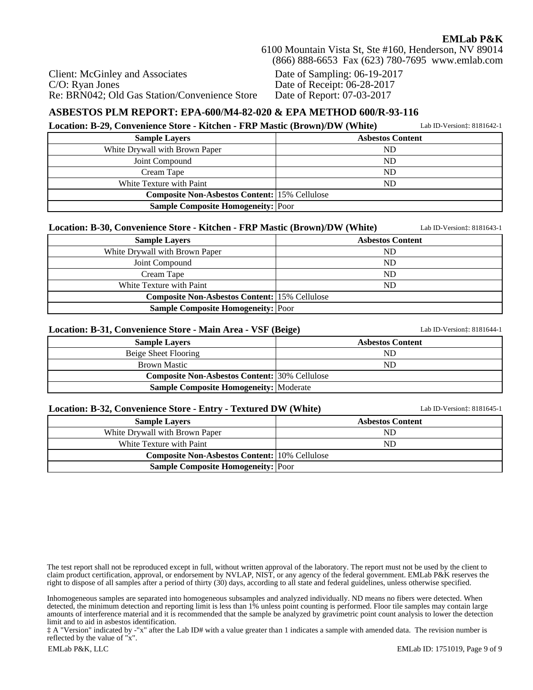Client: McGinley and Associates C/O: Ryan Jones Re: BRN042; Old Gas Station/Convenience Store Date of Sampling: 06-19-2017 Date of Receipt: 06-28-2017 Date of Report: 07-03-2017

#### **ASBESTOS PLM REPORT: EPA-600/M4-82-020 & EPA METHOD 600/R-93-116**

#### **Location: B-29, Convenience Store - Kitchen - FRP Mastic (Brown)/DW (White)** Lab ID-Version‡: 8181642-1

| <b>Sample Layers</b>                                 | <b>Asbestos Content</b> |  |
|------------------------------------------------------|-------------------------|--|
| White Drywall with Brown Paper                       | ${\rm ND}$              |  |
| Joint Compound                                       | ND                      |  |
| Cream Tape                                           | ND                      |  |
| White Texture with Paint                             | ND                      |  |
| <b>Composite Non-Asbestos Content:</b> 15% Cellulose |                         |  |
| <b>Sample Composite Homogeneity: Poor</b>            |                         |  |

#### **Location: B-30, Convenience Store - Kitchen - FRP Mastic (Brown)/DW (White)** Lab ID-Version‡: 8181643-1

| <b>Sample Lavers</b>                                 | <b>Asbestos Content</b> |  |  |
|------------------------------------------------------|-------------------------|--|--|
| White Drywall with Brown Paper                       | ND                      |  |  |
| Joint Compound                                       | ND                      |  |  |
| Cream Tape                                           | ND                      |  |  |
| White Texture with Paint                             | ND.                     |  |  |
| <b>Composite Non-Asbestos Content: 15% Cellulose</b> |                         |  |  |
| <b>Sample Composite Homogeneity: Poor</b>            |                         |  |  |

#### **Location: B-31, Convenience Store - Main Area - VSF (Beige)** Lab ID-Version‡: 8181644-1

| <b>Sample Lavers</b>                                 | <b>Asbestos Content</b> |  |  |  |
|------------------------------------------------------|-------------------------|--|--|--|
| Beige Sheet Flooring                                 | ND                      |  |  |  |
| <b>Brown Mastic</b>                                  | ND                      |  |  |  |
| <b>Composite Non-Asbestos Content:</b> 30% Cellulose |                         |  |  |  |
| <b>Sample Composite Homogeneity:</b> Moderate        |                         |  |  |  |

| Location: B-32, Convenience Store - Entry - Textured DW (White) | Lab ID-Version: 8181645-1 |
|-----------------------------------------------------------------|---------------------------|
| <b>Sample Lavers</b>                                            | <b>Asbestos Content</b>   |
| White Drywall with Brown Paper                                  | ND                        |
| White Texture with Paint                                        | ND                        |
| <b>Composite Non-Asbestos Content:</b> 10% Cellulose            |                           |
| <b>Sample Composite Homogeneity:</b> Poor                       |                           |

The test report shall not be reproduced except in full, without written approval of the laboratory. The report must not be used by the client to claim product certification, approval, or endorsement by NVLAP, NIST, or any agency of the federal government. EMLab P&K reserves the right to dispose of all samples after a period of thirty (30) days, according to all state and federal guidelines, unless otherwise specified.

Inhomogeneous samples are separated into homogeneous subsamples and analyzed individually. ND means no fibers were detected. When detected, the minimum detection and reporting limit is less than 1% unless point counting is performed. Floor tile samples may contain large amounts of interference material and it is recommended that the sample be analyzed by gravimetric point count analysis to lower the detection limit and to aid in asbestos identification.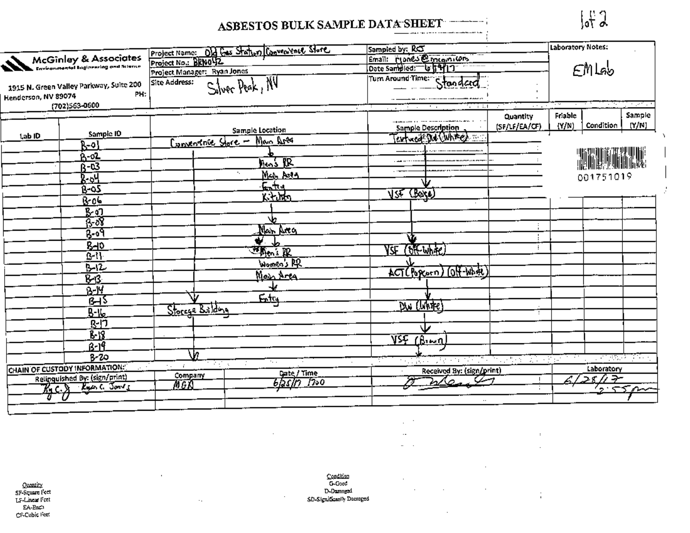#### ASBESTOS BULK SAMPLE DATA SHEET الإناطية فقلططيط للطاطبين فالمرازق وعاقلتك

 $\int_0^1 f_0$ 

Y.

 $\blacksquare$ 

|                                                                       |     |                             | Project Name: Old Gas Station Convenience Store | Sampled by: RC                                        |                                | Laboratory Notes: |                           |          |
|-----------------------------------------------------------------------|-----|-----------------------------|-------------------------------------------------|-------------------------------------------------------|--------------------------------|-------------------|---------------------------|----------|
| McGinley & Associates                                                 |     |                             |                                                 | Email: Mones @ meginitions                            |                                |                   |                           |          |
|                                                                       |     | Project Manager: Ryan Jones |                                                 | Date Sampled: U 1917                                  |                                |                   | $\epsilon$ MLab           |          |
|                                                                       |     | Site Address:               |                                                 | Turn Around Time: Standard                            |                                |                   |                           |          |
| 1915 N. Green Valley Parkway, Suite 200                               | PH: |                             | Silver Peak, NV                                 |                                                       |                                |                   |                           |          |
| Henderson, NV 89074<br>(702)563-0600                                  |     |                             |                                                 |                                                       | $\alpha$ , $\alpha$ , $\alpha$ |                   |                           | a serika |
|                                                                       |     |                             |                                                 | $\epsilon = \pm 3.1$<br>and the state<br>$\mathbf{r}$ | $\cdot$<br>Quantity            | Friable           |                           | Sample   |
|                                                                       |     |                             |                                                 | <b>Sample Description</b>                             | (SF/LF/EA/CF)                  | (Y/N)             | Condition                 | (Y/N)    |
| Sampic ID<br>Lab ID                                                   |     |                             | <b>Sample Location</b>                          | entweck! Dut (White)                                  |                                |                   |                           |          |
| ሉ- የ                                                                  |     |                             | Conventage Store - Main Area                    |                                                       |                                |                   |                           |          |
|                                                                       |     |                             |                                                 |                                                       |                                |                   |                           |          |
| Ŕ-Q3                                                                  |     |                             | $\log_{2}R$                                     |                                                       |                                |                   |                           |          |
| - 94                                                                  |     |                             | ۰.<br><u>Mah Anta</u>                           |                                                       |                                |                   | 001751019                 |          |
| $0 - 0.5$                                                             |     |                             | سنمه                                            |                                                       |                                |                   |                           |          |
| 8 0 0                                                                 |     |                             | िरोक्त                                          | $\sqrt{3}$ (Boxe)                                     |                                |                   |                           |          |
| <u>k ol</u>                                                           |     |                             |                                                 |                                                       |                                |                   |                           |          |
| $6 - 8$                                                               |     |                             |                                                 |                                                       |                                |                   |                           |          |
| <u> २०१</u>                                                           |     |                             | Man Area                                        |                                                       |                                |                   |                           |          |
|                                                                       |     |                             | $\bullet$                                       | ነይ                                                    |                                |                   |                           |          |
| <b>B-10</b><br>$B - 1$                                                |     |                             | <u>ज्ञा<sub>लि</sub>ं प्रा</u>                  | VSF (OKWAR)                                           |                                |                   |                           |          |
|                                                                       |     |                             | Women's PR                                      |                                                       |                                |                   |                           |          |
| $B - 12$                                                              |     |                             | Main Area                                       | ACT(Popcorn) (OH-What)                                |                                |                   |                           |          |
| स्र                                                                   |     |                             |                                                 |                                                       |                                |                   |                           |          |
| <u> አ.አ</u>                                                           |     |                             | <u>Estra</u>                                    |                                                       |                                |                   |                           |          |
| 6⊣ऽ                                                                   |     | Storege Bridging            |                                                 | DW (WATE                                              |                                |                   |                           |          |
| <u>B-16</u>                                                           |     |                             |                                                 |                                                       |                                |                   |                           |          |
| <u>हन्</u> न                                                          |     |                             |                                                 |                                                       |                                |                   |                           |          |
| B-18                                                                  |     |                             |                                                 | VSF (Bung                                             |                                |                   |                           |          |
| <u> 8-19.</u>                                                         |     |                             |                                                 |                                                       |                                |                   |                           |          |
| $8 - 20$                                                              |     | Jn.                         | $\sim$ $\sim$                                   | <u>ng 2005 ay amin'ny soratra 2008. Ilay kaominin</u> |                                |                   | <u>राज्यसम्बद्धाः सम्</u> |          |
| CHAIN OF CUSTODY INFORMATION:                                         |     | <b>Contract</b><br>24.000   | Date / Time                                     | Received By: (sign/print)                             |                                |                   | Laboratory                |          |
| Relinquished By: (sign/print)                                         |     | Company                     | 6/25/17 1200                                    | $2\sqrt{2}$                                           |                                |                   | コメガチ                      |          |
| $K_1$ $C_2$ $K_2$ $K_3$ $K_4$ $K_5$ $\overline{S_0}$ $\overline{S_0}$ |     | MGN                         |                                                 |                                                       |                                |                   | 7.55 <sub>m</sub>         |          |
|                                                                       |     |                             |                                                 |                                                       |                                |                   |                           |          |

 $\cdot$ 

 $\cdot$ 

 $\cdot$ 

 $\epsilon_{\rm s}$ 

 $\cdot$  $\mathbf{r}$ 

 $\mathcal{L}_{\mathbf{z}}$ 

 $\overline{\phantom{a}}$ 

 $\cdot$ 

 $\ddot{\phantom{a}}$ 

 $\ddot{\phantom{a}}$ 

 $\cdot$  .

 $\cdot$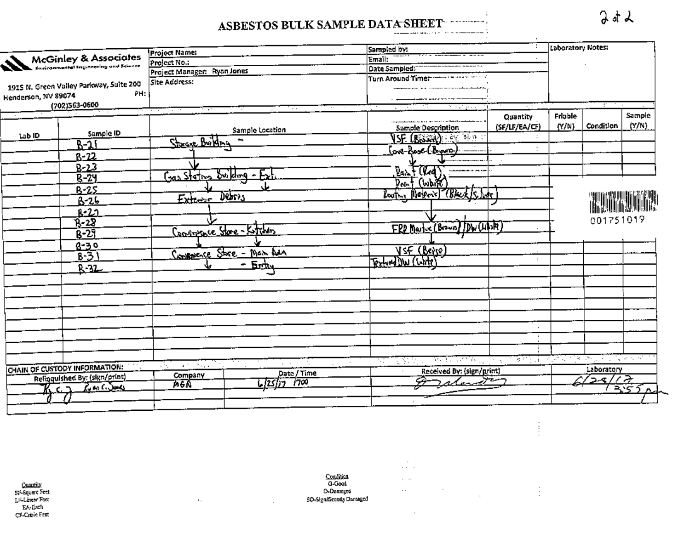#### ASBESTOS BULK SAMPLE DATA SHEET . . . . . . . . . فاستستنست والارداد والمساعدت  $---$

|                                                         |                                         | Project Name:                          | Sampled by:                          | Laboratory Notes:                            |
|---------------------------------------------------------|-----------------------------------------|----------------------------------------|--------------------------------------|----------------------------------------------|
|                                                         | McGinley & Associates                   | Project No.:                           | Email:                               |                                              |
|                                                         |                                         | Project Manager: Ryan Jones            | Date Sampled:                        |                                              |
|                                                         |                                         | Site Address:                          |                                      |                                              |
|                                                         | 1915 N. Green Valley Parkway, Suite 200 |                                        |                                      |                                              |
| Henderson, NV 89074                                     | PH:                                     |                                        |                                      |                                              |
|                                                         | (702)563-0600                           | $\sim$ $\sim$<br>ਸ਼ਾ<br>$\sim$ $\sim$  | the property of                      | and the                                      |
|                                                         |                                         |                                        |                                      | Sample<br>Friable<br>Quantity                |
|                                                         | Sample ID                               | Sample Location                        | <b>Sample Description</b>            | (Y/N)<br>(N/N)<br>Condition<br>(SF/LF/EA/CF) |
| Lab ID                                                  |                                         | Storage Britan                         | <b>SF (BOSSER)</b> FOR SHOP          |                                              |
|                                                         | $B-31$                                  |                                        | love-Boos-C'Anners-                  |                                              |
|                                                         | $8 - 22$                                |                                        |                                      |                                              |
|                                                         | $B - 23$                                |                                        | Paint Clear                          |                                              |
|                                                         | $R - 24$                                | $Gas$ stating Building -               |                                      |                                              |
|                                                         | $B - 25$                                |                                        | Don't (White)                        |                                              |
|                                                         | 8-26                                    | Derrs<br>$Ex_{\text{relax}}$           | Roothy Maker's Check Is here         |                                              |
|                                                         | <u>r-20</u>                             |                                        |                                      |                                              |
|                                                         | $R - 28$                                |                                        |                                      | 001751019                                    |
|                                                         |                                         | <u>Soverstore</u> Store-Katchers       | FRD Martine (Brown) DW (LIDR         |                                              |
|                                                         | $B - 29$                                |                                        |                                      |                                              |
|                                                         | 8-30                                    | Convenience Store - Main Ara           | <u>VsE (Beve)</u>                    |                                              |
|                                                         | $8 - 3$                                 |                                        | Textuad DW (Chite)                   | $\ddot{\phantom{a}}$                         |
|                                                         | $R - 32$                                | <u>- Erh</u>                           |                                      |                                              |
|                                                         |                                         |                                        |                                      |                                              |
|                                                         |                                         |                                        |                                      |                                              |
|                                                         |                                         |                                        |                                      |                                              |
|                                                         |                                         |                                        |                                      |                                              |
|                                                         |                                         |                                        |                                      |                                              |
|                                                         |                                         |                                        |                                      | $\mathbf{r}$                                 |
|                                                         |                                         |                                        |                                      |                                              |
|                                                         |                                         |                                        |                                      |                                              |
|                                                         |                                         |                                        | <u> 1955 - Falles Alexander</u><br>W |                                              |
|                                                         | CHAIN OF CUSTODY INFORMATION:           | $\sim 10^{11}$ , $\sim 10^{11}$<br>УY. | Received By: (sign/print)<br>$\sim$  | Laboratory                                   |
| Date / Time<br>Company<br>Relinquished By: (sign/print) |                                         | 4                                      | ۰,                                   |                                              |
| K c.h                                                   | $2.66$ $5 - 6$                          | L <i>lzslin 1</i> 700<br>Aða           | ratend                               | RSTn                                         |
|                                                         |                                         |                                        |                                      |                                              |

Quantily<br>53: Square Feet<br>Li-Linear Feet EA-Each CF-Cubic Feet

 $\cdot$ 

Condition<br>G-Good D-Damaged SO-Significantly Danaged

 $\mathcal{L}$ 

 $\alpha_{\rm eff}$ 

 $\sim$   $\sim$  $\ldots$  $\cdot$ 

 $\epsilon$  $\mathcal{L}(\mathcal{L})$  .

 $\cdot$ 

 $\frac{1}{2}$ 

÷.

 $2d$ 

 $\ddot{\phantom{a}}$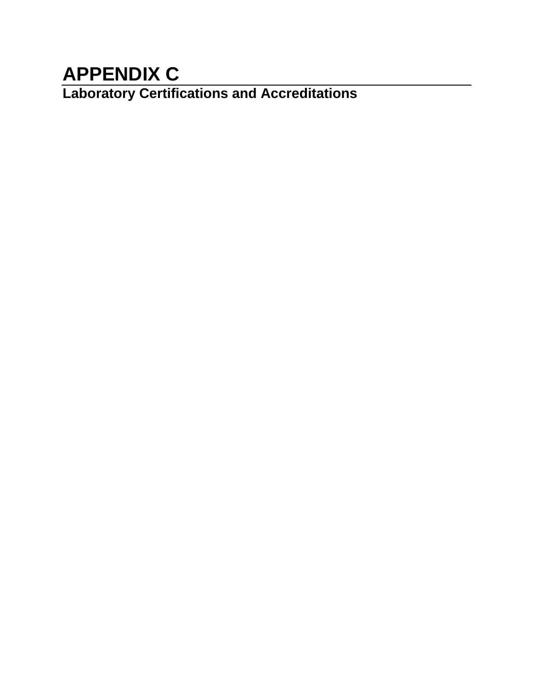# **APPENDIX C**

**Laboratory Certifications and Accreditations**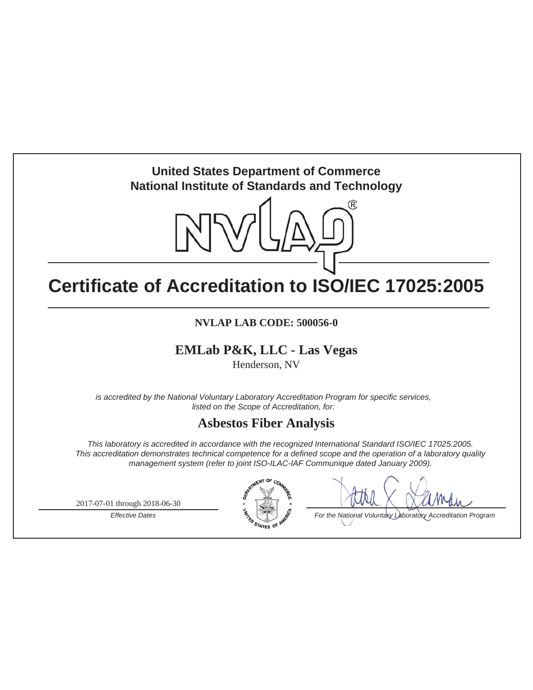# **United States Department of Commerce National Institute of Standards and Technology**



# **Certificate of Accreditation to ISO/IEC 17025:2005**

# **NVLAP LAB CODE: 500056-0**

# **EMLab P&K, LLC - Las Vegas**

Henderson, NV

*is accredited by the National Voluntary Laboratory Accreditation Program for specific services, listed on the Scope of Accreditation, for:*

# **Asbestos Fiber Analysis**

*This laboratory is accredited in accordance with the recognized International Standard ISO/IEC 17025:2005. This accreditation demonstrates technical competence for a defined scope and the operation of a laboratory quality management system (refer to joint ISO-ILAC-IAF Communique dated January 2009).*

2017-07-01 through 2018-06-30



*Effective Dates* **For the National Voluntary Laboratory Accreditation Program**